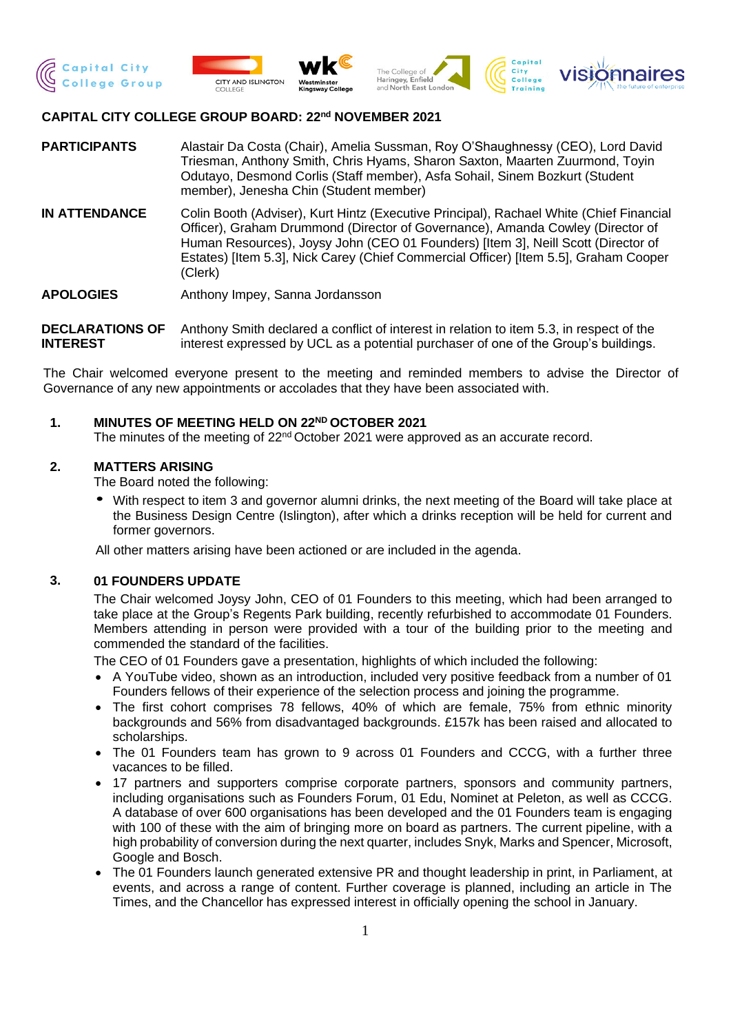







# **CAPITAL CITY COLLEGE GROUP BOARD: 22nd NOVEMBER 2021**

- **PARTICIPANTS** Alastair Da Costa (Chair), Amelia Sussman, Roy O'Shaughnessy (CEO), Lord David Triesman, Anthony Smith, Chris Hyams, Sharon Saxton, Maarten Zuurmond, Toyin Odutayo, Desmond Corlis (Staff member), Asfa Sohail, Sinem Bozkurt (Student member), Jenesha Chin (Student member)
- **IN ATTENDANCE** Colin Booth (Adviser), Kurt Hintz (Executive Principal), Rachael White (Chief Financial Officer), Graham Drummond (Director of Governance), Amanda Cowley (Director of Human Resources), Joysy John (CEO 01 Founders) [Item 3], Neill Scott (Director of Estates) [Item 5.3], Nick Carey (Chief Commercial Officer) [Item 5.5], Graham Cooper (Clerk)

**APOLOGIES** Anthony Impey, Sanna Jordansson

**DECLARATIONS OF INTEREST** Anthony Smith declared a conflict of interest in relation to item 5.3, in respect of the interest expressed by UCL as a potential purchaser of one of the Group's buildings.

The Chair welcomed everyone present to the meeting and reminded members to advise the Director of Governance of any new appointments or accolades that they have been associated with.

#### **1. MINUTES OF MEETING HELD ON 22ND OCTOBER 2021**

The minutes of the meeting of 22<sup>nd</sup> October 2021 were approved as an accurate record.

#### **2. MATTERS ARISING**

The Board noted the following:

• With respect to item 3 and governor alumni drinks, the next meeting of the Board will take place at the Business Design Centre (Islington), after which a drinks reception will be held for current and former governors.

All other matters arising have been actioned or are included in the agenda.

## **3. 01 FOUNDERS UPDATE**

The Chair welcomed Joysy John, CEO of 01 Founders to this meeting, which had been arranged to take place at the Group's Regents Park building, recently refurbished to accommodate 01 Founders. Members attending in person were provided with a tour of the building prior to the meeting and commended the standard of the facilities.

The CEO of 01 Founders gave a presentation, highlights of which included the following:

- A YouTube video, shown as an introduction, included very positive feedback from a number of 01 Founders fellows of their experience of the selection process and joining the programme.
- The first cohort comprises 78 fellows, 40% of which are female, 75% from ethnic minority backgrounds and 56% from disadvantaged backgrounds. £157k has been raised and allocated to scholarships.
- The 01 Founders team has grown to 9 across 01 Founders and CCCG, with a further three vacances to be filled.
- 17 partners and supporters comprise corporate partners, sponsors and community partners, including organisations such as Founders Forum, 01 Edu, Nominet at Peleton, as well as CCCG. A database of over 600 organisations has been developed and the 01 Founders team is engaging with 100 of these with the aim of bringing more on board as partners. The current pipeline, with a high probability of conversion during the next quarter, includes Snyk, Marks and Spencer, Microsoft, Google and Bosch.
- The 01 Founders launch generated extensive PR and thought leadership in print, in Parliament, at events, and across a range of content. Further coverage is planned, including an article in The Times, and the Chancellor has expressed interest in officially opening the school in January.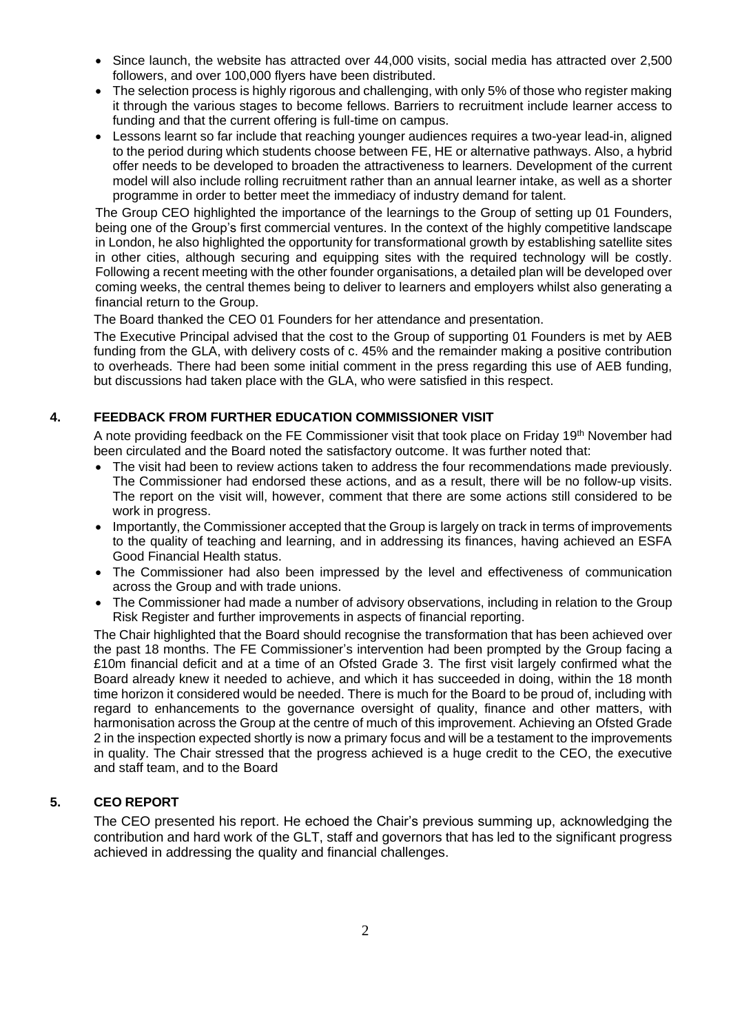- Since launch, the website has attracted over 44,000 visits, social media has attracted over 2,500 followers, and over 100,000 flyers have been distributed.
- The selection process is highly rigorous and challenging, with only 5% of those who register making it through the various stages to become fellows. Barriers to recruitment include learner access to funding and that the current offering is full-time on campus.
- Lessons learnt so far include that reaching younger audiences requires a two-year lead-in, aligned to the period during which students choose between FE, HE or alternative pathways. Also, a hybrid offer needs to be developed to broaden the attractiveness to learners. Development of the current model will also include rolling recruitment rather than an annual learner intake, as well as a shorter programme in order to better meet the immediacy of industry demand for talent.

The Group CEO highlighted the importance of the learnings to the Group of setting up 01 Founders, being one of the Group's first commercial ventures. In the context of the highly competitive landscape in London, he also highlighted the opportunity for transformational growth by establishing satellite sites in other cities, although securing and equipping sites with the required technology will be costly. Following a recent meeting with the other founder organisations, a detailed plan will be developed over coming weeks, the central themes being to deliver to learners and employers whilst also generating a financial return to the Group.

The Board thanked the CEO 01 Founders for her attendance and presentation.

The Executive Principal advised that the cost to the Group of supporting 01 Founders is met by AEB funding from the GLA, with delivery costs of c. 45% and the remainder making a positive contribution to overheads. There had been some initial comment in the press regarding this use of AEB funding, but discussions had taken place with the GLA, who were satisfied in this respect.

## **4. FEEDBACK FROM FURTHER EDUCATION COMMISSIONER VISIT**

A note providing feedback on the FE Commissioner visit that took place on Friday 19<sup>th</sup> November had been circulated and the Board noted the satisfactory outcome. It was further noted that:

- The visit had been to review actions taken to address the four recommendations made previously. The Commissioner had endorsed these actions, and as a result, there will be no follow-up visits. The report on the visit will, however, comment that there are some actions still considered to be work in progress.
- Importantly, the Commissioner accepted that the Group is largely on track in terms of improvements to the quality of teaching and learning, and in addressing its finances, having achieved an ESFA Good Financial Health status.
- The Commissioner had also been impressed by the level and effectiveness of communication across the Group and with trade unions.
- The Commissioner had made a number of advisory observations, including in relation to the Group Risk Register and further improvements in aspects of financial reporting.

The Chair highlighted that the Board should recognise the transformation that has been achieved over the past 18 months. The FE Commissioner's intervention had been prompted by the Group facing a £10m financial deficit and at a time of an Ofsted Grade 3. The first visit largely confirmed what the Board already knew it needed to achieve, and which it has succeeded in doing, within the 18 month time horizon it considered would be needed. There is much for the Board to be proud of, including with regard to enhancements to the governance oversight of quality, finance and other matters, with harmonisation across the Group at the centre of much of this improvement. Achieving an Ofsted Grade 2 in the inspection expected shortly is now a primary focus and will be a testament to the improvements in quality. The Chair stressed that the progress achieved is a huge credit to the CEO, the executive and staff team, and to the Board

# **5. CEO REPORT**

The CEO presented his report. He echoed the Chair's previous summing up, acknowledging the contribution and hard work of the GLT, staff and governors that has led to the significant progress achieved in addressing the quality and financial challenges.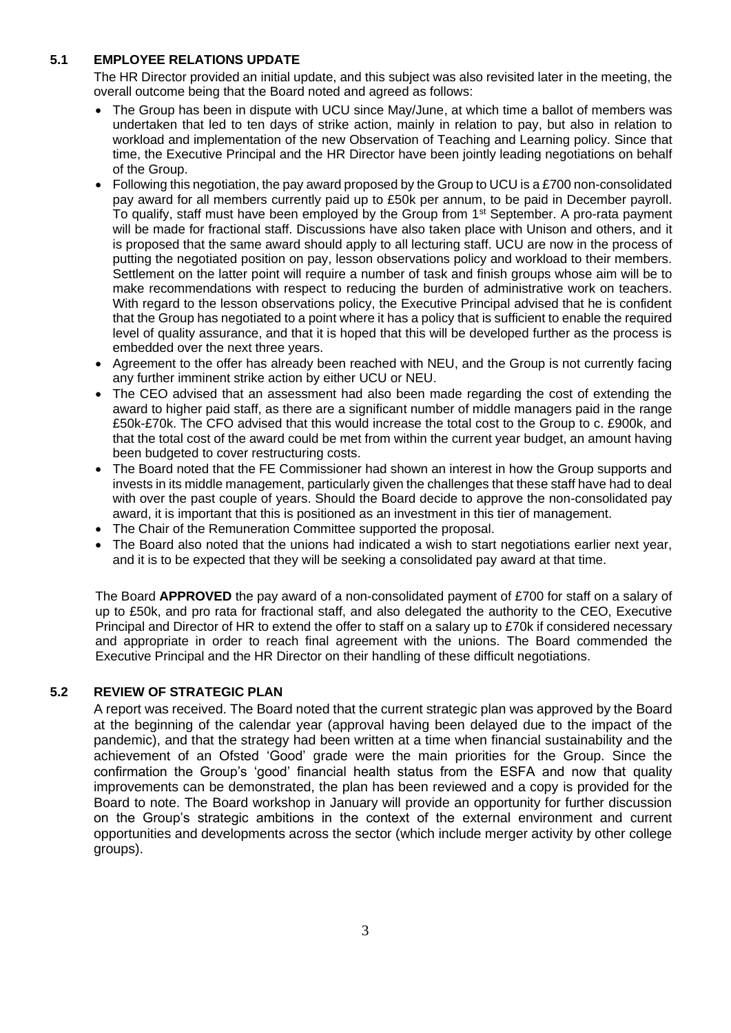# **5.1 EMPLOYEE RELATIONS UPDATE**

The HR Director provided an initial update, and this subject was also revisited later in the meeting, the overall outcome being that the Board noted and agreed as follows:

- The Group has been in dispute with UCU since May/June, at which time a ballot of members was undertaken that led to ten days of strike action, mainly in relation to pay, but also in relation to workload and implementation of the new Observation of Teaching and Learning policy. Since that time, the Executive Principal and the HR Director have been jointly leading negotiations on behalf of the Group.
- Following this negotiation, the pay award proposed by the Group to UCU is a £700 non-consolidated pay award for all members currently paid up to £50k per annum, to be paid in December payroll. To qualify, staff must have been employed by the Group from 1<sup>st</sup> September. A pro-rata payment will be made for fractional staff. Discussions have also taken place with Unison and others, and it is proposed that the same award should apply to all lecturing staff. UCU are now in the process of putting the negotiated position on pay, lesson observations policy and workload to their members. Settlement on the latter point will require a number of task and finish groups whose aim will be to make recommendations with respect to reducing the burden of administrative work on teachers. With regard to the lesson observations policy, the Executive Principal advised that he is confident that the Group has negotiated to a point where it has a policy that is sufficient to enable the required level of quality assurance, and that it is hoped that this will be developed further as the process is embedded over the next three years.
- Agreement to the offer has already been reached with NEU, and the Group is not currently facing any further imminent strike action by either UCU or NEU.
- The CEO advised that an assessment had also been made regarding the cost of extending the award to higher paid staff, as there are a significant number of middle managers paid in the range £50k-£70k. The CFO advised that this would increase the total cost to the Group to c. £900k, and that the total cost of the award could be met from within the current year budget, an amount having been budgeted to cover restructuring costs.
- The Board noted that the FE Commissioner had shown an interest in how the Group supports and invests in its middle management, particularly given the challenges that these staff have had to deal with over the past couple of years. Should the Board decide to approve the non-consolidated pay award, it is important that this is positioned as an investment in this tier of management.
- The Chair of the Remuneration Committee supported the proposal.
- The Board also noted that the unions had indicated a wish to start negotiations earlier next year, and it is to be expected that they will be seeking a consolidated pay award at that time.

The Board **APPROVED** the pay award of a non-consolidated payment of £700 for staff on a salary of up to £50k, and pro rata for fractional staff, and also delegated the authority to the CEO, Executive Principal and Director of HR to extend the offer to staff on a salary up to £70k if considered necessary and appropriate in order to reach final agreement with the unions. The Board commended the Executive Principal and the HR Director on their handling of these difficult negotiations.

# **5.2 REVIEW OF STRATEGIC PLAN**

A report was received. The Board noted that the current strategic plan was approved by the Board at the beginning of the calendar year (approval having been delayed due to the impact of the pandemic), and that the strategy had been written at a time when financial sustainability and the achievement of an Ofsted 'Good' grade were the main priorities for the Group. Since the confirmation the Group's 'good' financial health status from the ESFA and now that quality improvements can be demonstrated, the plan has been reviewed and a copy is provided for the Board to note. The Board workshop in January will provide an opportunity for further discussion on the Group's strategic ambitions in the context of the external environment and current opportunities and developments across the sector (which include merger activity by other college groups).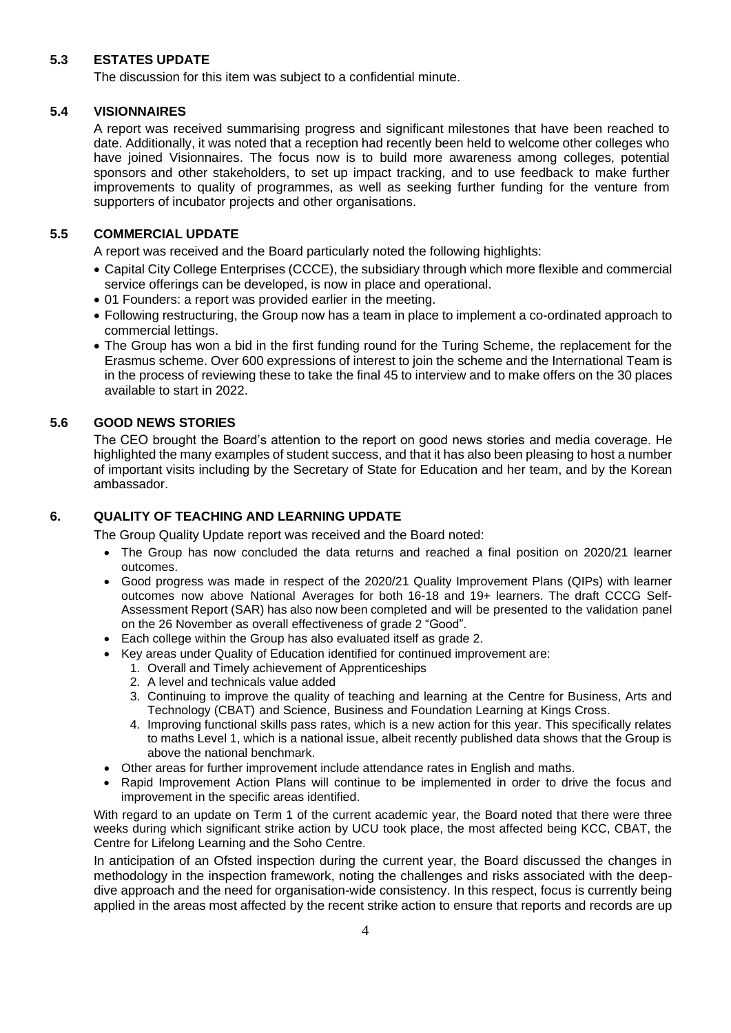# **5.3 ESTATES UPDATE**

The discussion for this item was subject to a confidential minute.

## **5.4 VISIONNAIRES**

A report was received summarising progress and significant milestones that have been reached to date. Additionally, it was noted that a reception had recently been held to welcome other colleges who have joined Visionnaires. The focus now is to build more awareness among colleges, potential sponsors and other stakeholders, to set up impact tracking, and to use feedback to make further improvements to quality of programmes, as well as seeking further funding for the venture from supporters of incubator projects and other organisations.

# **5.5 COMMERCIAL UPDATE**

A report was received and the Board particularly noted the following highlights:

- Capital City College Enterprises (CCCE), the subsidiary through which more flexible and commercial service offerings can be developed, is now in place and operational.
- 01 Founders: a report was provided earlier in the meeting.
- Following restructuring, the Group now has a team in place to implement a co-ordinated approach to commercial lettings.
- The Group has won a bid in the first funding round for the Turing Scheme, the replacement for the Erasmus scheme. Over 600 expressions of interest to join the scheme and the International Team is in the process of reviewing these to take the final 45 to interview and to make offers on the 30 places available to start in 2022.

# **5.6 GOOD NEWS STORIES**

The CEO brought the Board's attention to the report on good news stories and media coverage. He highlighted the many examples of student success, and that it has also been pleasing to host a number of important visits including by the Secretary of State for Education and her team, and by the Korean ambassador.

# **6. QUALITY OF TEACHING AND LEARNING UPDATE**

The Group Quality Update report was received and the Board noted:

- The Group has now concluded the data returns and reached a final position on 2020/21 learner outcomes.
- Good progress was made in respect of the 2020/21 Quality Improvement Plans (QIPs) with learner outcomes now above National Averages for both 16-18 and 19+ learners. The draft CCCG Self-Assessment Report (SAR) has also now been completed and will be presented to the validation panel on the 26 November as overall effectiveness of grade 2 "Good".
- Each college within the Group has also evaluated itself as grade 2.
- Key areas under Quality of Education identified for continued improvement are:
	- 1. Overall and Timely achievement of Apprenticeships
	- 2. A level and technicals value added
	- 3. Continuing to improve the quality of teaching and learning at the Centre for Business, Arts and Technology (CBAT) and Science, Business and Foundation Learning at Kings Cross.
	- 4. Improving functional skills pass rates, which is a new action for this year. This specifically relates to maths Level 1, which is a national issue, albeit recently published data shows that the Group is above the national benchmark.
- Other areas for further improvement include attendance rates in English and maths.
- Rapid Improvement Action Plans will continue to be implemented in order to drive the focus and improvement in the specific areas identified.

With regard to an update on Term 1 of the current academic year, the Board noted that there were three weeks during which significant strike action by UCU took place, the most affected being KCC, CBAT, the Centre for Lifelong Learning and the Soho Centre.

In anticipation of an Ofsted inspection during the current year, the Board discussed the changes in methodology in the inspection framework, noting the challenges and risks associated with the deepdive approach and the need for organisation-wide consistency. In this respect, focus is currently being applied in the areas most affected by the recent strike action to ensure that reports and records are up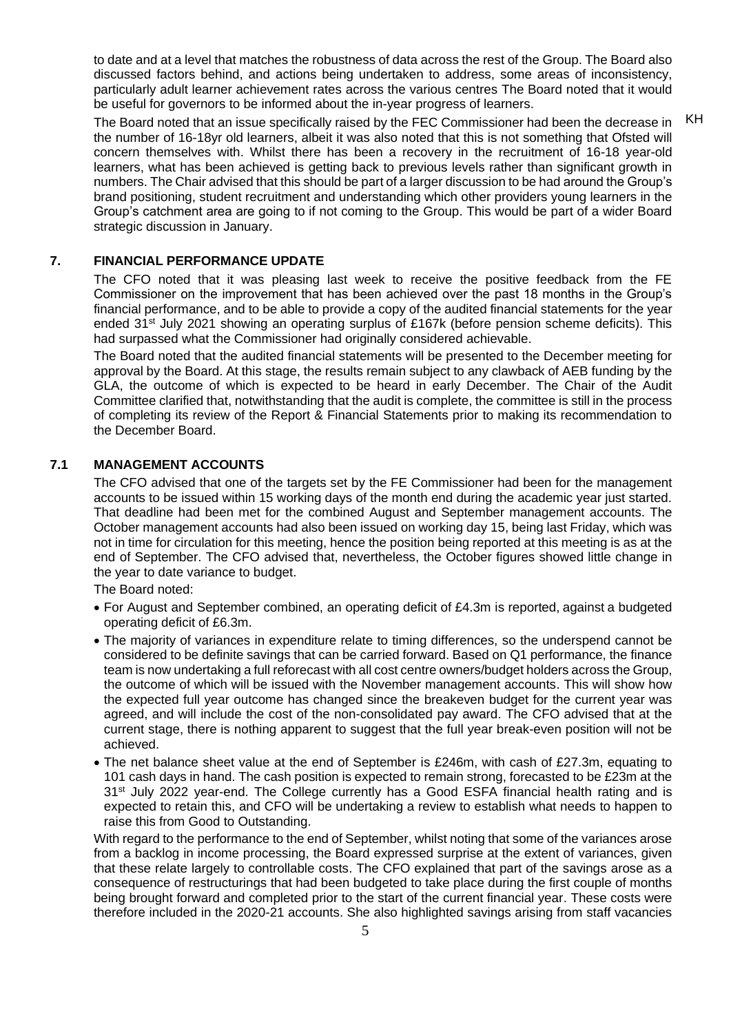to date and at a level that matches the robustness of data across the rest of the Group. The Board also discussed factors behind, and actions being undertaken to address, some areas of inconsistency, particularly adult learner achievement rates across the various centres The Board noted that it would be useful for governors to be informed about the in-year progress of learners.

The Board noted that an issue specifically raised by the FEC Commissioner had been the decrease in the number of 16-18yr old learners, albeit it was also noted that this is not something that Ofsted will concern themselves with. Whilst there has been a recovery in the recruitment of 16-18 year-old learners, what has been achieved is getting back to previous levels rather than significant growth in numbers. The Chair advised that this should be part of a larger discussion to be had around the Group's brand positioning, student recruitment and understanding which other providers young learners in the Group's catchment area are going to if not coming to the Group. This would be part of a wider Board strategic discussion in January. KH

## **7. FINANCIAL PERFORMANCE UPDATE**

The CFO noted that it was pleasing last week to receive the positive feedback from the FE Commissioner on the improvement that has been achieved over the past 18 months in the Group's financial performance, and to be able to provide a copy of the audited financial statements for the year ended  $31<sup>st</sup>$  July 2021 showing an operating surplus of £167k (before pension scheme deficits). This had surpassed what the Commissioner had originally considered achievable.

The Board noted that the audited financial statements will be presented to the December meeting for approval by the Board. At this stage, the results remain subject to any clawback of AEB funding by the GLA, the outcome of which is expected to be heard in early December. The Chair of the Audit Committee clarified that, notwithstanding that the audit is complete, the committee is still in the process of completing its review of the Report & Financial Statements prior to making its recommendation to the December Board.

#### **7.1 MANAGEMENT ACCOUNTS**

The CFO advised that one of the targets set by the FE Commissioner had been for the management accounts to be issued within 15 working days of the month end during the academic year just started. That deadline had been met for the combined August and September management accounts. The October management accounts had also been issued on working day 15, being last Friday, which was not in time for circulation for this meeting, hence the position being reported at this meeting is as at the end of September. The CFO advised that, nevertheless, the October figures showed little change in the year to date variance to budget.

The Board noted:

- For August and September combined, an operating deficit of £4.3m is reported, against a budgeted operating deficit of £6.3m.
- The majority of variances in expenditure relate to timing differences, so the underspend cannot be considered to be definite savings that can be carried forward. Based on Q1 performance, the finance team is now undertaking a full reforecast with all cost centre owners/budget holders across the Group, the outcome of which will be issued with the November management accounts. This will show how the expected full year outcome has changed since the breakeven budget for the current year was agreed, and will include the cost of the non-consolidated pay award. The CFO advised that at the current stage, there is nothing apparent to suggest that the full year break-even position will not be achieved.
- The net balance sheet value at the end of September is £246m, with cash of £27.3m, equating to 101 cash days in hand. The cash position is expected to remain strong, forecasted to be £23m at the  $31<sup>st</sup>$  July 2022 year-end. The College currently has a Good ESFA financial health rating and is expected to retain this, and CFO will be undertaking a review to establish what needs to happen to raise this from Good to Outstanding.

With regard to the performance to the end of September, whilst noting that some of the variances arose from a backlog in income processing, the Board expressed surprise at the extent of variances, given that these relate largely to controllable costs. The CFO explained that part of the savings arose as a consequence of restructurings that had been budgeted to take place during the first couple of months being brought forward and completed prior to the start of the current financial year. These costs were therefore included in the 2020-21 accounts. She also highlighted savings arising from staff vacancies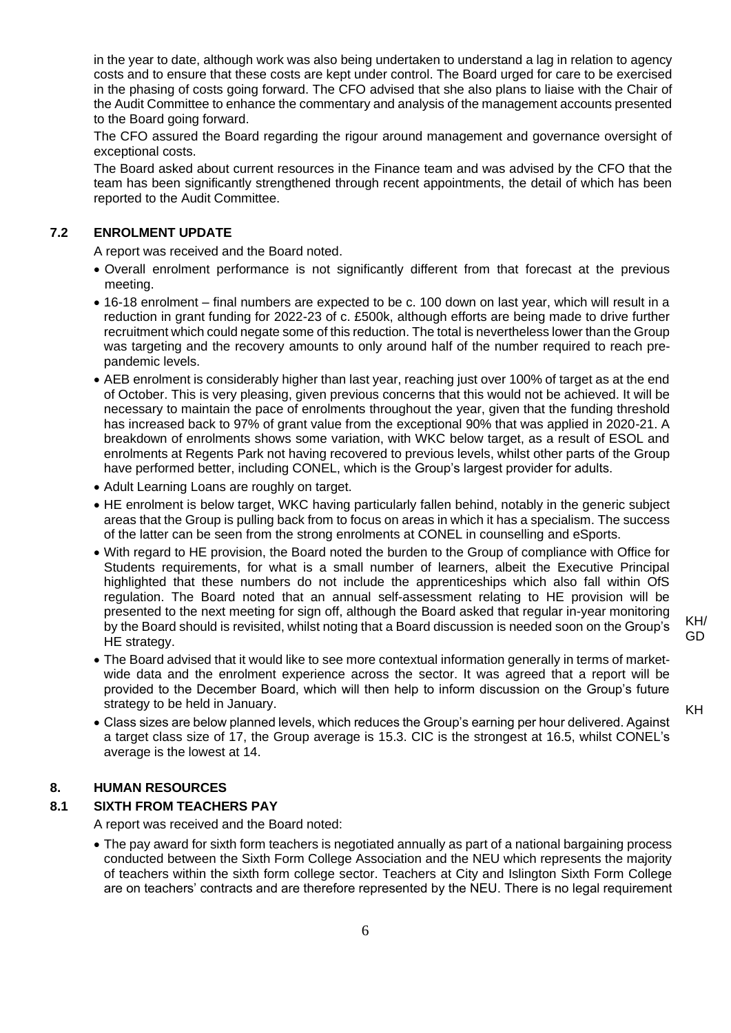in the year to date, although work was also being undertaken to understand a lag in relation to agency costs and to ensure that these costs are kept under control. The Board urged for care to be exercised in the phasing of costs going forward. The CFO advised that she also plans to liaise with the Chair of the Audit Committee to enhance the commentary and analysis of the management accounts presented to the Board going forward.

The CFO assured the Board regarding the rigour around management and governance oversight of exceptional costs.

The Board asked about current resources in the Finance team and was advised by the CFO that the team has been significantly strengthened through recent appointments, the detail of which has been reported to the Audit Committee.

# **7.2 ENROLMENT UPDATE**

A report was received and the Board noted.

- Overall enrolment performance is not significantly different from that forecast at the previous meeting.
- 16-18 enrolment final numbers are expected to be c. 100 down on last year, which will result in a reduction in grant funding for 2022-23 of c. £500k, although efforts are being made to drive further recruitment which could negate some of this reduction. The total is nevertheless lower than the Group was targeting and the recovery amounts to only around half of the number required to reach prepandemic levels.
- AEB enrolment is considerably higher than last year, reaching just over 100% of target as at the end of October. This is very pleasing, given previous concerns that this would not be achieved. It will be necessary to maintain the pace of enrolments throughout the year, given that the funding threshold has increased back to 97% of grant value from the exceptional 90% that was applied in 2020-21. A breakdown of enrolments shows some variation, with WKC below target, as a result of ESOL and enrolments at Regents Park not having recovered to previous levels, whilst other parts of the Group have performed better, including CONEL, which is the Group's largest provider for adults.
- Adult Learning Loans are roughly on target.
- HE enrolment is below target, WKC having particularly fallen behind, notably in the generic subject areas that the Group is pulling back from to focus on areas in which it has a specialism. The success of the latter can be seen from the strong enrolments at CONEL in counselling and eSports.
- With regard to HE provision, the Board noted the burden to the Group of compliance with Office for Students requirements, for what is a small number of learners, albeit the Executive Principal highlighted that these numbers do not include the apprenticeships which also fall within OfS regulation. The Board noted that an annual self-assessment relating to HE provision will be presented to the next meeting for sign off, although the Board asked that regular in-year monitoring by the Board should is revisited, whilst noting that a Board discussion is needed soon on the Group's HE strategy.
- The Board advised that it would like to see more contextual information generally in terms of marketwide data and the enrolment experience across the sector. It was agreed that a report will be provided to the December Board, which will then help to inform discussion on the Group's future strategy to be held in January.
- KH

KH/ GD

• Class sizes are below planned levels, which reduces the Group's earning per hour delivered. Against a target class size of 17, the Group average is 15.3. CIC is the strongest at 16.5, whilst CONEL's average is the lowest at 14.

## **8. HUMAN RESOURCES**

#### **8.1 SIXTH FROM TEACHERS PAY**

A report was received and the Board noted:

• The pay award for sixth form teachers is negotiated annually as part of a national bargaining process conducted between the Sixth Form College Association and the NEU which represents the majority of teachers within the sixth form college sector. Teachers at City and Islington Sixth Form College are on teachers' contracts and are therefore represented by the NEU. There is no legal requirement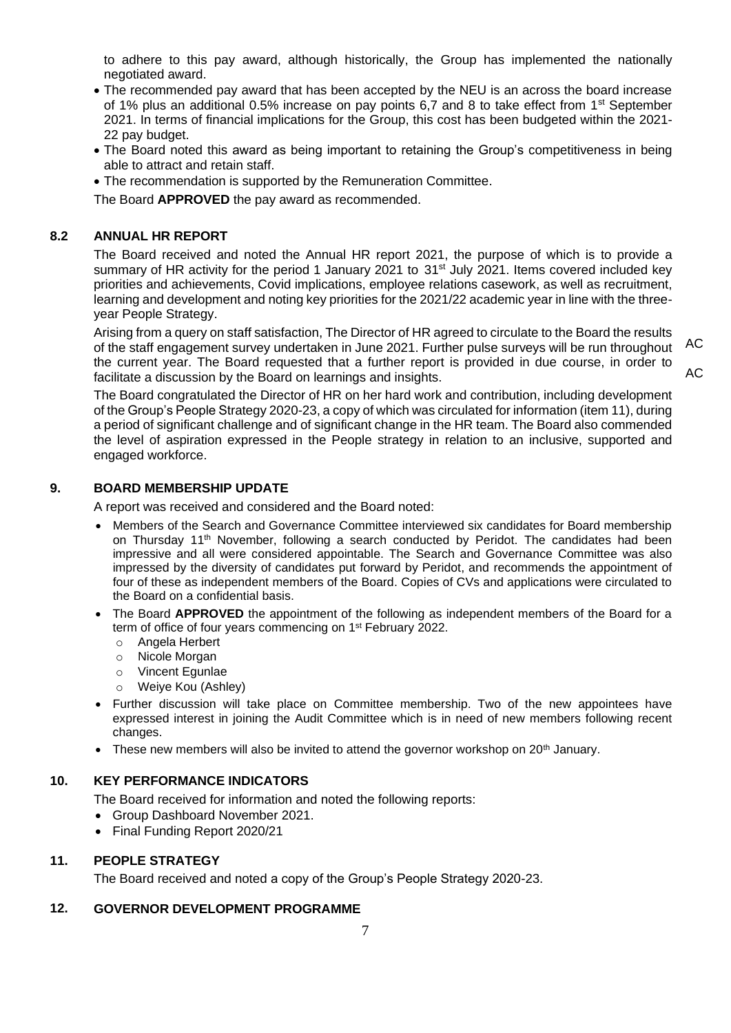to adhere to this pay award, although historically, the Group has implemented the nationally negotiated award.

- The recommended pay award that has been accepted by the NEU is an across the board increase of 1% plus an additional 0.5% increase on pay points 6,7 and 8 to take effect from 1<sup>st</sup> September 2021. In terms of financial implications for the Group, this cost has been budgeted within the 2021- 22 pay budget.
- The Board noted this award as being important to retaining the Group's competitiveness in being able to attract and retain staff.
- The recommendation is supported by the Remuneration Committee.

The Board **APPROVED** the pay award as recommended.

## **8.2 ANNUAL HR REPORT**

The Board received and noted the Annual HR report 2021, the purpose of which is to provide a summary of HR activity for the period 1 January 2021 to 31<sup>st</sup> July 2021. Items covered included key priorities and achievements, Covid implications, employee relations casework, as well as recruitment, learning and development and noting key priorities for the 2021/22 academic year in line with the threeyear People Strategy.

Arising from a query on staff satisfaction, The Director of HR agreed to circulate to the Board the results of the staff engagement survey undertaken in June 2021. Further pulse surveys will be run throughout the current year. The Board requested that a further report is provided in due course, in order to facilitate a discussion by the Board on learnings and insights.

AC

 $AC$ 

The Board congratulated the Director of HR on her hard work and contribution, including development of the Group's People Strategy 2020-23, a copy of which was circulated for information (item 11), during a period of significant challenge and of significant change in the HR team. The Board also commended the level of aspiration expressed in the People strategy in relation to an inclusive, supported and engaged workforce.

# **9. BOARD MEMBERSHIP UPDATE**

A report was received and considered and the Board noted:

- Members of the Search and Governance Committee interviewed six candidates for Board membership on Thursday 11<sup>th</sup> November, following a search conducted by Peridot. The candidates had been impressive and all were considered appointable. The Search and Governance Committee was also impressed by the diversity of candidates put forward by Peridot, and recommends the appointment of four of these as independent members of the Board. Copies of CVs and applications were circulated to the Board on a confidential basis.
- The Board **APPROVED** the appointment of the following as independent members of the Board for a term of office of four years commencing on 1st February 2022.
	- o Angela Herbert
	- o Nicole Morgan
	- o Vincent Egunlae
	- Weiye Kou (Ashley)
- Further discussion will take place on Committee membership. Two of the new appointees have expressed interest in joining the Audit Committee which is in need of new members following recent changes.
- These new members will also be invited to attend the governor workshop on  $20<sup>th</sup>$  January.

## **10. KEY PERFORMANCE INDICATORS**

The Board received for information and noted the following reports:

- Group Dashboard November 2021.
- Final Funding Report 2020/21

## **11. PEOPLE STRATEGY**

The Board received and noted a copy of the Group's People Strategy 2020-23.

#### **12. GOVERNOR DEVELOPMENT PROGRAMME**